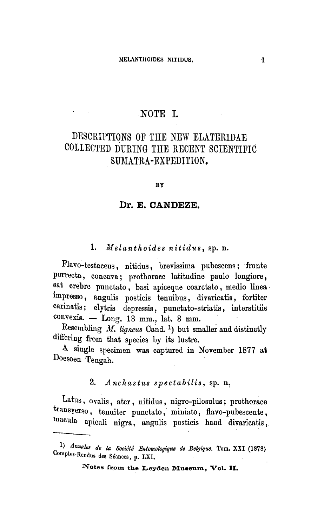## NOTE L

# Descriptions of the new Elateridae collected during the recent scientific SUMATRA-EXPEDITION.

#### BY

#### Dr. E. CANDEZE.

## 1. Melanthoides nitidus, sp. n.

Flavo-testaceus, nitidus, brevissima pubescens; fronte porrecta, concava; prothorace latitudine paulo longiore, sat crebre punctato, basi apiceque coarctato, medio linea impresso, angulis posticis tenuibus, divaricatis, fortiter carinatis; elytris depressis, punctato-striatis, interstitiis convexis. — Long. <sup>13</sup> mm., lat. 3 mm.

Resembling  $M.$  ligneus Cand.<sup>1</sup>) but smaller and distinctly differing from that species by its lustre.

A single specimen was captured in November <sup>1877</sup> at Doesoen Tengah.

## 2. Anchastus spectabilis, sp. n.

Latus, ovalis, ater, nitidus, nigro-pilosulus; prothorace transyerso, tenuiter punctato, miniato, flavo-pubescente, macula apicali nigra, angulis posticis baud divaricatis,

<sup>1)</sup> Annales de la Société Entomologique de Belgique. Tom. XXI (1878) omptes-Rendus des Seances, p. LXI.

Notes from the Leyden Museum, Vol. II.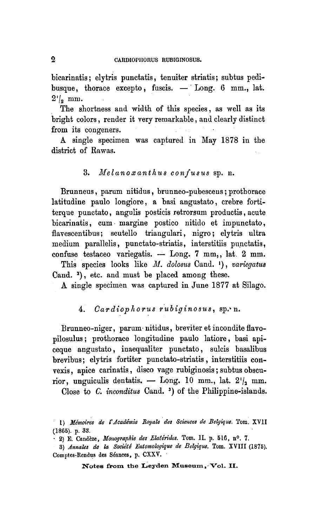bicarinatis; elytris punctatis, tenuiter striatis; subtus pedibusque, thorace excepto, fuscis. - Long. 6 mm., lat.  $2^{\prime}/\!$  mm.

The shortness and width of this species, as well as its bright colors, render it very remarkable, and clearly distinct from its congeners.

A single specimen was captured in May 1878 in the district of Rawas.

## 3. Melanoxanthus confusus sp. n.

Brunneus, parum nitidus, brunneo-pubesceus; prothorace latitudine paulo longiore, <sup>a</sup> basi angustato, crebre fortiterque punctato, augulis posticis retrorsum productis, acute bicarinatis, cum margine postico nitido et impunctato, flavescentibus; scutello triangulari, nigro; elytris ultra medium parallelis, punctato-striatis, interstitiis punctatis, confuse testaceo variegatis. — Long. <sup>7</sup> mm,, lat. 2 mm.

This species looks like M. dolosus Cand. '), variegatus Cand. <sup>2</sup> ), etc. and must be placed among these.

A single specimen was captured in June 1877 at Silago.

## 4. Cardiophorus rubiginosus, sp. n.

Brunneo-niger, parum nitidus, breviter et incondite flavopilosulus; prothorace longitudine paulo latiore, basi apiceque angustato, inaequaliter punctato, sulcis basalibus brevibus; elytris fortiter punctato-striatis, interstitiis convexis, apice carinatis, disco vage rubiginosis; subtus obscurior, unguiculis dentatis. — Long. 10 mm., lat.  $2^1/2$  mm.

Close to C. inconditus Cand.<sup>3</sup>) of the Philippine-islands.

Notes from the Leyden Museum, Vol. 11.

<sup>1)</sup> Mémoires de l'Académie Royale des Sciences de Belgique. Tom. XVII (1865). p. 33.

<sup>2)</sup> E. Candèze, Monographie des Elatérides. Tom. II. p. 516, n°. 7.

<sup>3)</sup> Annales de la Société Entomologique de Belgique. Tom. XVIII (1875). Comptes-Rendus des Séances, p. CXXV.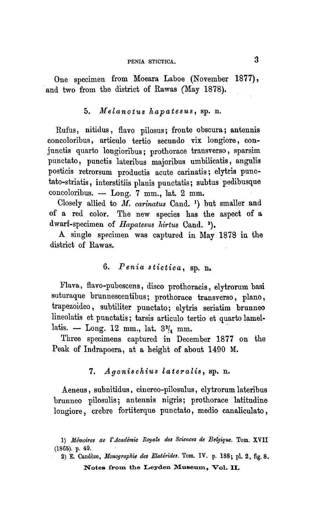## PENIA STICTICA. 3

One specimen from Moeara Laboe (November 1877), and two from the district of Rawas (May 1878).

#### 5. Melanotus hapatesus, sp. n.

Rufus, nitidus , flavo pilosus; fronte obscura; antennis concoloribus, articulo tertio secundo vix longiore, conjunctis quarto longioribus; prothorace transverso, sparsim punctato, punctis lateribus majoribus umbilicatis, angulis posticis retrorsum productis acute carinatis; elytris punctato-striatis, interstitiis plauis punctatis; subtus pedibusque concoloribus. — Long. <sup>7</sup> mm., lat. 2 mm.

Closely allied to M. carinatus Cand. ') but smaller and of <sup>a</sup> red color. The new species has the aspect of <sup>a</sup> dwarf-specimen of Hapatesus hirtus Cand.  $2)$ .

A single specimen was captured in May 1878 in the district of Rawas.

## 6. Penia stictica, sp. n.

Flava, flavo-pubescens, disco prothoracis, elytrorum basi suturaque brunnescentibus; prothorace transverso, plano, trapezoideo, subtiliter punctato; elytris seriatim brunneo lineolatis et punctatis; tarsis articulo tertio et quarto lamellatis.  $-$  Long. 12 mm., lat.  $3^{\frac{3}{4}}$  mm.

Three specimens captured in December 1877 on the Peak of Indrapoera, at <sup>a</sup> height of about 1490 M.

#### 7. Agonischius lateralis, sp. n.

Aeneus, subnitidus, cinereo-pilosulus, elytrorum lateribus brunneo pilosulis; antennis nigris; prothorace latitudine longiore, crebre fortiterque punctato, medio canaliculato,

<sup>1)</sup> Mémoires de l'Académie Royale des Sciences de Belgique. Tom. XVII (1865). p. 49.

Notes from the Leyden Museum, Vol. 11. 2) E. Candèze, Monographie des Elatérides. Tom. IV. p. 188; pl. 2, fig. 8.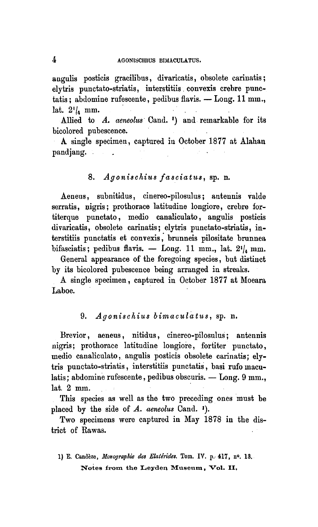angulis posticis gracilibus, divaricatis, obsolete eariuatis; elytris punctato-striatis, interstitiis convexis crebre punctatis; abdomine rufeseente, pedibus flavis. — Long. 11 mm., lat.  $2^{\prime}$ /<sub>2</sub> mm.

Allied to A. aeneolus Cand. ') and remarkable for its bicolored pubescence.

A single specimen, captured in October 1877 at Alahan pandjang.

## 8. Agonischius fasciatus, sp. n.

Aeneus, subnitidus, cinereo-pilosulus; antennis valde serratis, nigris; prothorace latitudine longiore, crebre fortiterque punctato, medio canaiiculato, angulis posticis divaricatis, obsolete carinatis; elytris punctato-striatis, iuterstitiis punctatis et convexis, brunneis pilositate brunnea bifasciatis; pedibus flavis. — Long. 11 mm., lat.  $2^i\vert_{\rm a}$  mm.

General appearance of the foregoing species, but distinct by its bicolored pubescence being arranged in streaks.

A single specimen, captured in October 1877 at Moeara Laboe.

## 9. Agonischius bimaculatus, sp. n.

Brevior, aeneus, nitidus, cinereo-pilosulus; antennis nigris; prothorace latitudine longiore, fortiter punctato, medio canaiiculato, angulis posticis obsolete carinatis; elytris punctato-striatis, interstitiis punctatis, basi rufo maculatis; abdomine rufescente, pedibus obscuris. — Long. 9 mm., lat. <sup>2</sup> mm.

This species as well as the two preceding ones must be placed by the side of  $A$ . aeneolus Cand.  $\cdot$ .

Two specimens were captured in May 1878 in the district of Rawas.

Notes from the Leyden Museum, Vol. II, 1) E. Candèze, Monographie des Elatérides. Tom. IV. p. 417, nº. 13.